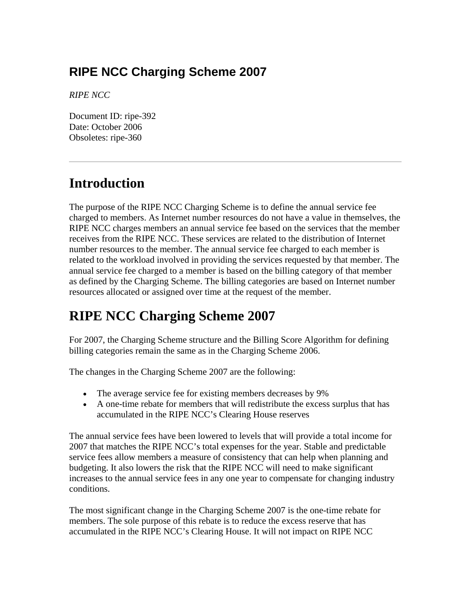## **RIPE NCC Charging Scheme 2007**

*RIPE NCC*

Document ID: ripe-392 Date: October 2006 Obsoletes: ripe-360

## **Introduction**

The purpose of the RIPE NCC Charging Scheme is to define the annual service fee charged to members. As Internet number resources do not have a value in themselves, the RIPE NCC charges members an annual service fee based on the services that the member receives from the RIPE NCC. These services are related to the distribution of Internet number resources to the member. The annual service fee charged to each member is related to the workload involved in providing the services requested by that member. The annual service fee charged to a member is based on the billing category of that member as defined by the Charging Scheme. The billing categories are based on Internet number resources allocated or assigned over time at the request of the member.

## **RIPE NCC Charging Scheme 2007**

For 2007, the Charging Scheme structure and the Billing Score Algorithm for defining billing categories remain the same as in the Charging Scheme 2006.

The changes in the Charging Scheme 2007 are the following:

- The average service fee for existing members decreases by 9%
- A one-time rebate for members that will redistribute the excess surplus that has accumulated in the RIPE NCC's Clearing House reserves

The annual service fees have been lowered to levels that will provide a total income for 2007 that matches the RIPE NCC's total expenses for the year. Stable and predictable service fees allow members a measure of consistency that can help when planning and budgeting. It also lowers the risk that the RIPE NCC will need to make significant increases to the annual service fees in any one year to compensate for changing industry conditions.

The most significant change in the Charging Scheme 2007 is the one-time rebate for members. The sole purpose of this rebate is to reduce the excess reserve that has accumulated in the RIPE NCC's Clearing House. It will not impact on RIPE NCC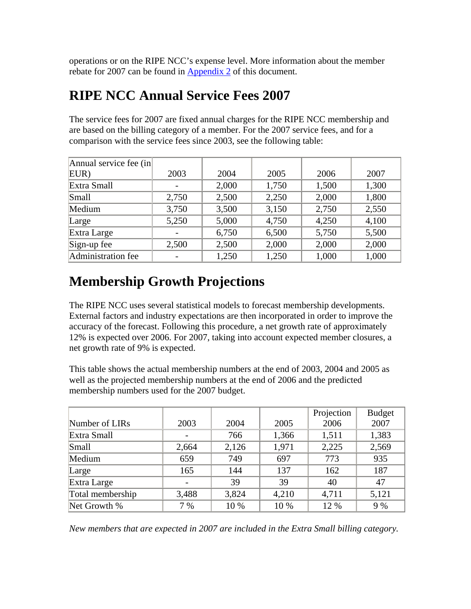operations or on the RIPE NCC's expense level. More information about the member rebate for 2007 can be found in [Appendix 2](http://www.ripe.net/ripe/docs/ripe-392.html#app2#app2) of this document.

## **RIPE NCC Annual Service Fees 2007**

The service fees for 2007 are fixed annual charges for the RIPE NCC membership and are based on the billing category of a member. For the 2007 service fees, and for a comparison with the service fees since 2003, see the following table:

| Annual service fee (in |                          |       |       |       |       |
|------------------------|--------------------------|-------|-------|-------|-------|
| EUR)                   | 2003                     | 2004  | 2005  | 2006  | 2007  |
|                        |                          |       |       |       |       |
| Extra Small            | $\overline{\phantom{0}}$ | 2,000 | 1,750 | 1,500 | 1,300 |
| Small                  | 2,750                    | 2,500 | 2,250 | 2,000 | 1,800 |
| Medium                 | 3,750                    | 3,500 | 3,150 | 2,750 | 2,550 |
| Large                  | 5,250                    | 5,000 | 4,750 | 4,250 | 4,100 |
| Extra Large            |                          | 6,750 | 6,500 | 5,750 | 5,500 |
| Sign-up fee            | 2,500                    | 2,500 | 2,000 | 2,000 | 2,000 |
| Administration fee     |                          | 1,250 | 1,250 | 1,000 | 1,000 |

# **Membership Growth Projections**

The RIPE NCC uses several statistical models to forecast membership developments. External factors and industry expectations are then incorporated in order to improve the accuracy of the forecast. Following this procedure, a net growth rate of approximately 12% is expected over 2006. For 2007, taking into account expected member closures, a net growth rate of 9% is expected.

This table shows the actual membership numbers at the end of 2003, 2004 and 2005 as well as the projected membership numbers at the end of 2006 and the predicted membership numbers used for the 2007 budget.

|                  |       |       |       | Projection | <b>Budget</b> |
|------------------|-------|-------|-------|------------|---------------|
| Number of LIRs   | 2003  | 2004  | 2005  | 2006       | 2007          |
| Extra Small      |       | 766   | 1,366 | 1,511      | 1,383         |
| Small            | 2,664 | 2,126 | 1,971 | 2,225      | 2,569         |
| Medium           | 659   | 749   | 697   | 773        | 935           |
| Large            | 165   | 144   | 137   | 162        | 187           |
| Extra Large      |       | 39    | 39    | 40         | 47            |
| Total membership | 3,488 | 3,824 | 4,210 | 4,711      | 5,121         |
| Net Growth %     | 7 %   | 10 %  | 10 %  | 12 %       | 9 %           |

*New members that are expected in 2007 are included in the Extra Small billing category.*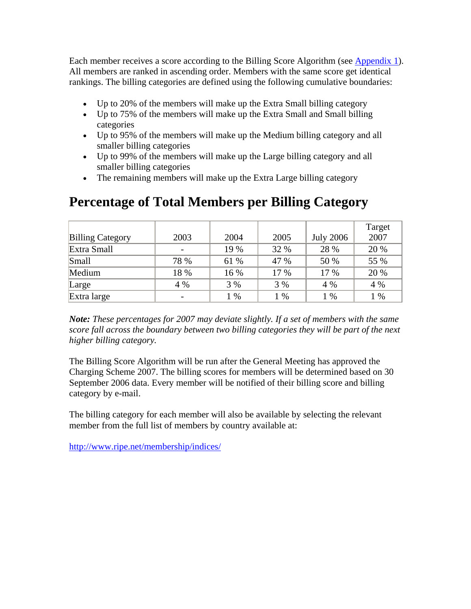Each member receives a score according to the Billing Score Algorithm (see [Appendix 1](http://www.ripe.net/ripe/docs/ripe-392.html#app1#app1)). All members are ranked in ascending order. Members with the same score get identical rankings. The billing categories are defined using the following cumulative boundaries:

- Up to 20% of the members will make up the Extra Small billing category
- Up to 75% of the members will make up the Extra Small and Small billing categories
- Up to 95% of the members will make up the Medium billing category and all smaller billing categories
- Up to 99% of the members will make up the Large billing category and all smaller billing categories
- The remaining members will make up the Extra Large billing category

|                         |      |      |      |                  | Target |
|-------------------------|------|------|------|------------------|--------|
| <b>Billing Category</b> | 2003 | 2004 | 2005 | <b>July 2006</b> | 2007   |
| Extra Small             |      | 19 % | 32 % | 28 %             | 20 %   |
| Small                   | 78 % | 61 % | 47 % | 50 %             | 55 %   |
| Medium                  | 18 % | 16 % | 17 % | 17 %             | 20 %   |
| Large                   | 4 %  | 3 %  | 3 %  | 4 %              | 4 %    |
| Extra large             |      | 1 %  | %    | $1\%$            | 1 %    |

#### **Percentage of Total Members per Billing Category**

*Note: These percentages for 2007 may deviate slightly. If a set of members with the same score fall across the boundary between two billing categories they will be part of the next higher billing category.* 

The Billing Score Algorithm will be run after the General Meeting has approved the Charging Scheme 2007. The billing scores for members will be determined based on 30 September 2006 data. Every member will be notified of their billing score and billing category by e-mail.

The billing category for each member will also be available by selecting the relevant member from the full list of members by country available at:

<http://www.ripe.net/membership/indices/>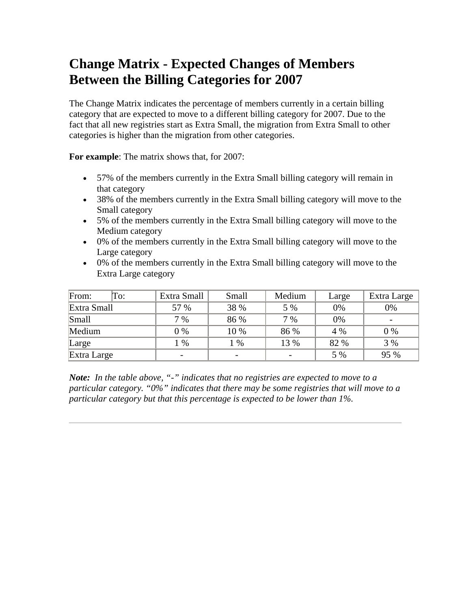## **Change Matrix - Expected Changes of Members Between the Billing Categories for 2007**

The Change Matrix indicates the percentage of members currently in a certain billing category that are expected to move to a different billing category for 2007. Due to the fact that all new registries start as Extra Small, the migration from Extra Small to other categories is higher than the migration from other categories.

**For example**: The matrix shows that, for 2007:

- 57% of the members currently in the Extra Small billing category will remain in that category
- 38% of the members currently in the Extra Small billing category will move to the Small category
- 5% of the members currently in the Extra Small billing category will move to the Medium category
- 0% of the members currently in the Extra Small billing category will move to the Large category
- 0% of the members currently in the Extra Small billing category will move to the Extra Large category

| From:<br>To: | Extra Small              | Small | Medium | Large | Extra Large |
|--------------|--------------------------|-------|--------|-------|-------------|
| Extra Small  | 57 %                     | 38 %  | 5 %    | 0%    | 0%          |
| Small        | $7\%$                    | 86 %  | 7 %    | 0%    |             |
| Medium       | $0\%$                    | 10 %  | 86 %   | 4 %   | $0\%$       |
| Large        | $\%$                     | $\%$  | 13 %   | 82 %  | 3 %         |
| Extra Large  | $\overline{\phantom{0}}$ |       |        | 5 %   | 95 %        |

*Note: In the table above, "-" indicates that no registries are expected to move to a particular category. "0%" indicates that there may be some registries that will move to a particular category but that this percentage is expected to be lower than 1%.*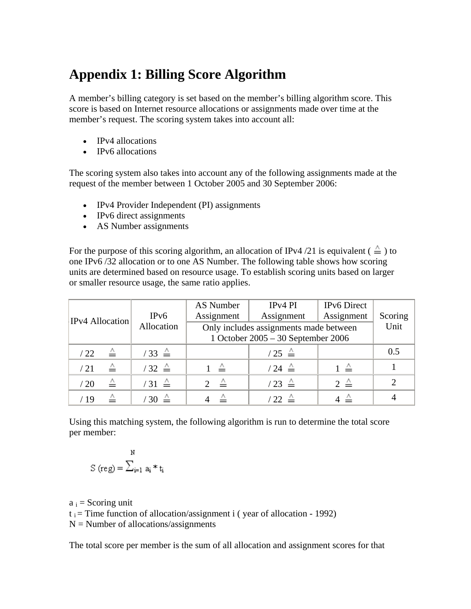# **Appendix 1: Billing Score Algorithm**

A member's billing category is set based on the member's billing algorithm score. This score is based on Internet resource allocations or assignments made over time at the member's request. The scoring system takes into account all:

- IPv4 allocations
- IPv6 allocations

The scoring system also takes into account any of the following assignments made at the request of the member between 1 October 2005 and 30 September 2006:

- IPv4 Provider Independent (PI) assignments
- IPv6 direct assignments
- AS Number assignments

For the purpose of this scoring algorithm, an allocation of IPv4/21 is equivalent ( $\stackrel{\wedge}{=}$ ) to one IPv6 /32 allocation or to one AS Number. The following table shows how scoring units are determined based on resource usage. To establish scoring units based on larger or smaller resource usage, the same ratio applies.

| <b>IPv4</b> Allocation | IPv6                        | AS Number<br>Assignment | IP <sub>v4</sub> PI<br>Assignment                                            | <b>IPv6</b> Direct<br>Assignment | Scoring |
|------------------------|-----------------------------|-------------------------|------------------------------------------------------------------------------|----------------------------------|---------|
|                        | Allocation                  |                         | Only includes assignments made between<br>1 October 2005 - 30 September 2006 | Unit                             |         |
| △<br>/22               | $\frac{1}{33}$ $\triangleq$ |                         | $\frac{1}{25}$ $\triangleq$                                                  |                                  | 0.5     |
| ≙<br>/21               | $132 \triangle$             |                         | $/24 \triangleq$                                                             | $1 \triangleq$                   |         |
| △<br>/20               | $'31 \triangleq$            |                         | $/23 \triangleq$                                                             | $2 \triangleq$                   | 2       |
| /19                    | $30 \triangleq$             |                         | $22 \triangle$                                                               |                                  |         |

Using this matching system, the following algorithm is run to determine the total score per member:

$$
\mathbb{S}^{\mathbb{N}}\left(\text{reg}\right)=\sum_{i=1}^{\mathbb{N}}\;a_{i}\ast t_{i}
$$

 $a_i$  = Scoring unit  $t_i$  = Time function of allocation/assignment i (year of allocation - 1992)  $N =$  Number of allocations/assignments

The total score per member is the sum of all allocation and assignment scores for that